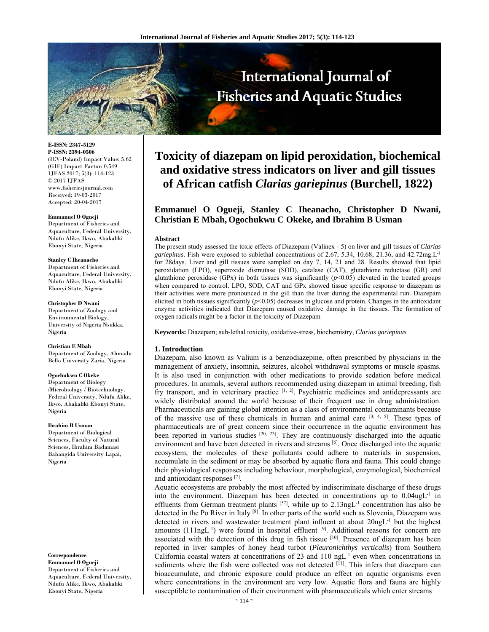

**E-ISSN: 2347-5129 P-ISSN: 2394-0506**  (ICV-Poland) Impact Value: 5.62 (GIF) Impact Factor: 0.549 IJFAS 2017; 5(3): 114-123  $\odot$  2017 IJFAS www.fisheriesjournal.com Received: 19-03-2017 Accepted: 20-04-2017

#### **Emmanuel O Ogueji**

Department of Fisheries and Aquaculture, Federal University, Ndufu Alike, Ikwo, Abakaliki Ebonyi State, Nigeria

#### **Stanley C Iheanacho**

Department of Fisheries and Aquaculture, Federal University, Ndufu Alike, Ikwo, Abakaliki Ebonyi State, Nigeria

### **Christopher D Nwani**

Department of Zoology and Environmental Biology, University of Nigeria Nsukka, Nigeria

#### **Christian E Mbah**

Department of Zoology, Ahmadu Bello University Zaria, Nigeria

#### **Ogochukwu C Okeke**

Department of Biology /Microbiology / Biotechnology, Federal University, Ndufu Alike, Ikwo, Abakaliki Ebonyi State, Nigeria

#### **Ibrahim B Usman**

Department of Biological Sciences, Faculty of Natural Sciences, Ibrahim Badamasi Babangida University Lapai, Nigeria

**Correspondence** 

**Emmanuel O Ogueji**  Department of Fisheries and Aquaculture, Federal University, Ndufu Alike, Ikwo, Abakaliki Ebonyi State, Nigeria

# **Toxicity of diazepam on lipid peroxidation, biochemical and oxidative stress indicators on liver and gill tissues of African catfish** *Clarias gariepinus* **(Burchell, 1822)**

## **Emmanuel O Ogueji, Stanley C Iheanacho, Christopher D Nwani, Christian E Mbah, Ogochukwu C Okeke, and Ibrahim B Usman**

#### **Abstract**

The present study assessed the toxic effects of Diazepam (Valinex - 5) on liver and gill tissues of *Clarias gariepinus*. Fish were exposed to sublethal concentrations of 2.67, 5.34, 10.68, 21.36, and 42.72mg.L-1 for 28days. Liver and gill tissues were sampled on day 7, 14, 21 and 28. Results showed that lipid peroxidation (LPO), superoxide dismutase (SOD), catalase (CAT), glutathione reductase (GR) and glutathione peroxidase (GPx) in both tissues was significantly  $(p<0.05)$  elevated in the treated groups when compared to control. LPO, SOD, CAT and GPx showed tissue specific response to diazepam as their activities were more pronounced in the gill than the liver during the experimental run. Diazepam elicited in both tissues significantly  $(p<0.05)$  decreases in glucose and protein. Changes in the antioxidant enzyme activities indicated that Diazepam caused oxidative damage in the tissues. The formation of oxygen radicals might be a factor in the toxicity of Diazepam

**Keywords:** Diazepam; sub-lethal toxicity, oxidative-stress, biochemistry, *Clarias gariepinus*

### **1. Introduction**

Diazepam, also known as Valium is a benzodiazepine, often prescribed by physicians in the management of anxiety, insomnia, seizures, alcohol withdrawal symptoms or muscle spasms. It is also used in conjunction with other medications to provide sedation before medical procedures. In animals, several authors recommended using diazepam in animal breeding, fish fry transport, and in veterinary practice [1, 2]. Psychiatric medicines and antidepressants are widely distributed around the world because of their frequent use in drug administration. Pharmaceuticals are gaining global attention as a class of environmental contaminants because of the massive use of these chemicals in human and animal care  $[3, 4, 5]$ . These types of pharmaceuticals are of great concern since their occurrence in the aquatic environment has been reported in various studies  $[20, 23]$ . They are continuously discharged into the aquatic environment and have been detected in rivers and streams [6]. Once discharged into the aquatic ecosystem, the molecules of these pollutants could adhere to materials in suspension, accumulate in the sediment or may be absorbed by aquatic flora and fauna. This could change their physiological responses including behaviour, morphological, enzymological, biochemical and antioxidant responses [7].

Aquatic ecosystems are probably the most affected by indiscriminate discharge of these drugs into the environment. Diazepam has been detected in concentrations up to 0.04ugL-1 in effluents from German treatment plants [57], while up to 2.13ngL<sup>-1</sup> concentration has also be detected in the Po River in Italy <sup>[8]</sup>. In other parts of the world such as Slovenia, Diazepam was detected in rivers and wastewater treatment plant influent at about 20ngL<sup>-1</sup> but the highest amounts  $(111ngL^{-1})$  were found in hospital effluent [9]. Additional reasons for concern are associated with the detection of this drug in fish tissue [10]. Presence of diazepam has been reported in liver samples of honey head turbot (*Pleuronichthys verticalis*) from Southern California coastal waters at concentrations of 23 and 110 ngL-1 even when concentrations in sediments where the fish were collected was not detected [11]. This infers that diazepam can bioaccumulate, and chronic exposure could produce an effect on aquatic organisms even where concentrations in the environment are very low. Aquatic flora and fauna are highly susceptible to contamination of their environment with pharmaceuticals which enter streams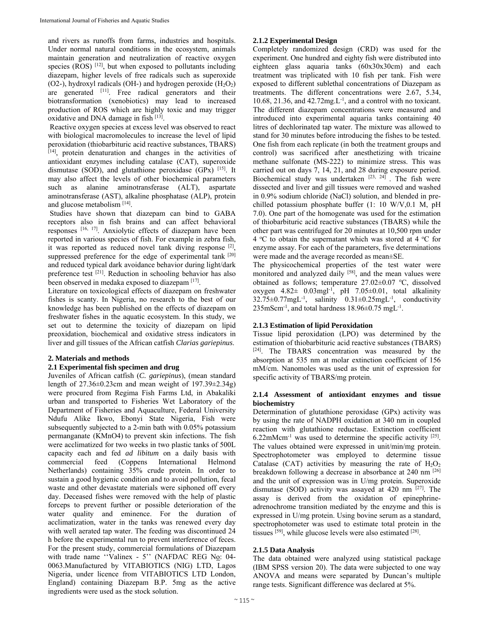and rivers as runoffs from farms, industries and hospitals. Under normal natural conditions in the ecosystem, animals maintain generation and neutralization of reactive oxygen species ( $ROS$ )  $[12]$ , but when exposed to pollutants including diazepam, higher levels of free radicals such as superoxide (O2-), hydroxyl radicals (OH-) and hydrogen peroxide  $(H_2O_2)$ are generated <sup>[11]</sup>. Free radical generators and their biotransformation (xenobiotics) may lead to increased production of ROS which are highly toxic and may trigger oxidative and DNA damage in fish  $[13]$ .

 Reactive oxygen species at excess level was observed to react with biological macromolecules to increase the level of lipid peroxidation (thiobarbituric acid reactive substances, TBARS) [14], protein denaturation and changes in the activities of antioxidant enzymes including catalase (CAT), superoxide dismutase (SOD), and glutathione peroxidase (GPx) [15]. It may also affect the levels of other biochemical parameters such as alanine aminotransferase (ALT), aspartate aminotransferase (AST), alkaline phosphatase (ALP), protein and glucose metabolism [14].

 Studies have shown that diazepam can bind to GABA receptors also in fish brains and can affect behavioral responses [16, 17]. Anxiolytic effects of diazepam have been reported in various species of fish. For example in zebra fish, it was reported as reduced novel tank diving response [2], suppressed preference for the edge of experimental tank [20] and reduced typical dark avoidance behavior during light/dark preference test  $[21]$ . Reduction in schooling behavior has also been observed in medaka exposed to diazepam [17].

Literature on toxicological effects of diazepam on freshwater fishes is scanty. In Nigeria, no research to the best of our knowledge has been published on the effects of diazepam on freshwater fishes in the aquatic ecosystem. In this study, we set out to determine the toxicity of diazepam on lipid preoxidation, biochemical and oxidative stress indicators in liver and gill tissues of the African catfish *Clarias gariepinus*.

## **2. Materials and methods**

### **2.1 Experimental fish specimen and drug**

Juveniles of African catfish (*C. gariepinus*), (mean standard length of 27.36±0.23cm and mean weight of 197.39±2.34g) were procured from Regima Fish Farms Ltd, in Abakaliki urban and transported to Fisheries Wet Laboratory of the Department of Fisheries and Aquaculture, Federal University Ndufu Alike Ikwo, Ebonyi State Nigeria, Fish were subsequently subjected to a 2-min bath with 0.05% potassium permanganate (KMnO4) to prevent skin infections. The fish were acclimatized for two weeks in two plastic tanks of 500L capacity each and fed *ad libitum* on a daily basis with commercial feed (Coppens International Helmond Netherlands) containing 35% crude protein. In order to sustain a good hygienic condition and to avoid pollution, fecal waste and other devastate materials were siphoned off every day. Deceased fishes were removed with the help of plastic forceps to prevent further or possible deterioration of the water quality and eminence. For the duration of acclimatization, water in the tanks was renewed every day with well aerated tap water. The feeding was discontinued 24 h before the experimental run to prevent interference of feces. For the present study, commercial formulations of Diazepam with trade name "Valinex - 5" (NAFDAC REG No: 04-0063.Manufactured by VITABIOTICS (NIG) LTD, Lagos Nigeria, under licence from VITABIOTICS LTD London, England) containing Diazepam B.P. 5mg as the active ingredients were used as the stock solution.

## **2.1.2 Experimental Design**

Completely randomized design (CRD) was used for the experiment. One hundred and eighty fish were distributed into eighteen glass aquaria tanks (60x30x30cm) and each treatment was triplicated with 10 fish per tank. Fish were exposed to different sublethal concentrations of Diazepam as treatments. The different concentrations were 2.67, 5.34, 10.68, 21.36, and  $42.72mg.L^{-1}$ , and a control with no toxicant. The different diazepam concentrations were measured and introduced into experimental aquaria tanks containing 40 litres of dechlorinated tap water. The mixture was allowed to stand for 30 minutes before introducing the fishes to be tested. One fish from each replicate (in both the treatment groups and control) was sacrificed after anesthetizing with tricaine methane sulfonate (MS-222) to minimize stress. This was carried out on days 7, 14, 21, and 28 during exposure period. Biochemical study was undertaken  $[23, 24]$ . The fish were dissected and liver and gill tissues were removed and washed in 0.9% sodium chloride (NaCl) solution, and blended in prechilled potassium phosphate buffer (1: 10 W/V,0.1 M, pH 7.0). One part of the homogenate was used for the estimation of thiobarbituric acid reactive substances (TBARS) while the other part was centrifuged for 20 minutes at 10,500 rpm under 4 °C to obtain the supernatant which was stored at 4 °C for enzyme assay. For each of the parameters, five determinations were made and the average recorded as mean±SE.

The physicochemical properties of the test water were monitored and analyzed daily <sup>[58]</sup>, and the mean values were obtained as follows; temperature 27.02±0.07 °C, dissolved oxygen  $4.82 \pm 0.03$ mgl<sup>-1</sup>, pH 7.05±0.01, total alkalinity  $32.75\pm0.77$ mgL<sup>-1</sup>, salinity  $0.31\pm0.25$ mgL<sup>-1</sup>, conductivity  $235$ mScm<sup>-1</sup>, and total hardness  $18.96\pm0.75$  mgL<sup>-1</sup>.

## **2.1.3 Estimation of lipid Peroxidation**

Tissue lipid peroxidation (LPO) was determined by the estimation of thiobarbituric acid reactive substances (TBARS) [24]. The TBARS concentration was measured by the absorption at 535 nm at molar extinction coefficient of 156 mM/cm. Nanomoles was used as the unit of expression for specific activity of TBARS/mg protein.

## **2.1.4 Assessment of antioxidant enzymes and tissue biochemistry**

Determination of glutathione peroxidase (GPx) activity was by using the rate of NADPH oxidation at 340 nm in coupled reaction with glutathione reductase. Extinction coefficient  $6.22$ mMcm<sup>-1</sup> was used to determine the specific activity <sup>[25]</sup>. The values obtained were expressed in unit/min/mg protein. Spectrophotometer was employed to determine tissue Catalase (CAT) activities by measuring the rate of  $H_2O_2$ breakdown following a decrease in absorbance at 240 nm [26] and the unit of expression was in U/mg protein. Superoxide dismutase (SOD) activity was assayed at 420 nm [27]. The assay is derived from the oxidation of epinephrineadrenochrome transition mediated by the enzyme and this is expressed in U/mg protein. Using bovine serum as a standard, spectrophotometer was used to estimate total protein in the tissues  $^{[59]}$ , while glucose levels were also estimated  $^{[28]}$ .

## **2.1.5 Data Analysis**

The data obtained were analyzed using statistical package (IBM SPSS version 20). The data were subjected to one way ANOVA and means were separated by Duncan's multiple range tests. Significant difference was declared at 5%.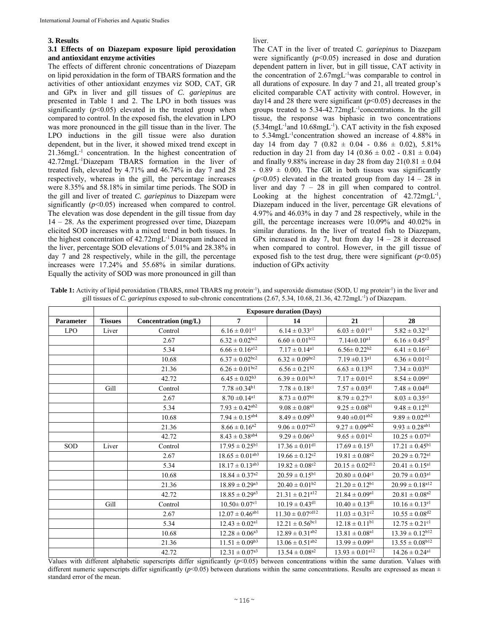## **3. Results**

### **3.1 Effects of on Diazepam exposure lipid peroxidation and antioxidant enzyme activities**

The effects of different chronic concentrations of Diazepam on lipid peroxidation in the form of TBARS formation and the activities of other antioxidant enzymes viz SOD, CAT, GR and GPx in liver and gill tissues of *C. gariepinus* are presented in Table 1 and 2. The LPO in both tissues was significantly  $(p<0.05)$  elevated in the treated group when compared to control. In the exposed fish, the elevation in LPO was more pronounced in the gill tissue than in the liver. The LPO inductions in the gill tissue were also duration dependent, but in the liver, it showed mixed trend except in 21.36mgL-1 concentration. In the highest concentration of 42.72mgL-1Diazepam TBARS formation in the liver of treated fish, elevated by 4.71% and 46.74% in day 7 and 28 respectively, whereas in the gill, the percentage increases were 8.35% and 58.18% in similar time periods. The SOD in the gill and liver of treated *C. gariepinus* to Diazepam were significantly  $(p<0.05)$  increased when compared to control. The elevation was dose dependent in the gill tissue from day 14 – 28. As the experiment progressed over time, Diazepam elicited SOD increases with a mixed trend in both tissues. In the highest concentration of 42.72mgL-1 Diazepam induced in the liver, percentage SOD elevations of 5.01% and 28.38% in day 7 and 28 respectively, while in the gill, the percentage increases were 17.24% and 55.68% in similar durations. Equally the activity of SOD was more pronounced in gill than

liver.

The CAT in the liver of treated *C. gariepinus* to Diazepam were significantly  $(p<0.05)$  increased in dose and duration dependent pattern in liver, but in gill tissue, CAT activity in the concentration of 2.67mgL-1was comparable to control in all durations of exposure. In day 7 and 21, all treated group's elicited comparable CAT activity with control. However, in day14 and 28 there were significant  $(p<0.05)$  decreases in the groups treated to 5.34-42.72mgL-1concentrations. In the gill tissue, the response was biphasic in two concentrations (5.34mgL-1and 10.68mgL-1). CAT activity in the fish exposed to 5.34mgL-1concentration showed an increase of 4.88% in day 14 from day 7 (0.82  $\pm$  0.04 - 0.86  $\pm$  0.02), 5.81% reduction in day 21 from day 14 ( $0.86 \pm 0.02 - 0.81 \pm 0.04$ ) and finally 9.88% increase in day 28 from day  $21(0.81 \pm 0.04)$  $- 0.89 \pm 0.00$ . The GR in both tissues was significantly  $(p<0.05)$  elevated in the treated group from day  $14 - 28$  in liver and day  $7 - 28$  in gill when compared to control. Looking at the highest concentration of 42.72mgL<sup>-1</sup>, Diazepam induced in the liver, percentage GR elevations of 4.97% and 46.03% in day 7 and 28 respectively, while in the gill, the percentage increases were 10.09% and 40.02% in similar durations. In the liver of treated fish to Diazepam, GPx increased in day 7, but from day  $14 - 28$  it decreased when compared to control. However, in the gill tissue of exposed fish to the test drug, there were significant  $(p<0.05)$ induction of GPx activity

| Table 1: Activity of lipid peroxidation (TBARS, nmol TBARS mg protein <sup>-1</sup> ), and superoxide dismutase (SOD, U mg protein <sup>-1</sup> ) in the liver and |  |  |
|---------------------------------------------------------------------------------------------------------------------------------------------------------------------|--|--|
| gill tissues of C. gariepinus exposed to sub-chronic concentrations $(2.67, 5.34, 10.68, 21.36, 42.72mgL^{-1})$ of Diazepam.                                        |  |  |

|                  |                | <b>Exposure duration (Days)</b> |                                 |                                  |                                 |                                 |
|------------------|----------------|---------------------------------|---------------------------------|----------------------------------|---------------------------------|---------------------------------|
| <b>Parameter</b> | <b>Tissues</b> | Concentration $(mg/L)$          | $\overline{7}$                  | 14                               | 21                              | 28                              |
| <b>LPO</b>       | Liver          | Control                         | $6.16 \pm 0.01$ <sup>cl</sup>   | $6.14 \pm 0.33$ <sup>c1</sup>    | $6.03 \pm 0.01$ <sup>c1</sup>   | $5.82 \pm 0.32$ <sup>cl</sup>   |
|                  |                | 2.67                            | $6.32\pm0.02^{\mathrm{bc2}}$    | $6.60 \pm 0.01$ <sup>b12</sup>   | $7.14 \pm 0.10$ <sup>a1</sup>   | $6.16 \pm 0.45^{\circ 2}$       |
|                  |                | 5.34                            | $6.66 \pm 0.16$ <sup>a12</sup>  | $7.17 \pm 0.14^{\rm al}$         | $6.56 \pm 0.22^{b2}$            | $6.41 \pm 0.16^{c2}$            |
|                  |                | 10.68                           | $6.37 \pm 0.02^{\rm bc2}$       | $6.32 \pm 0.09^{b\overline{c2}}$ | $7.19 \pm 0.13$ <sup>al</sup>   | $6.36 \pm 0.01$ <sup>c2</sup>   |
|                  |                | 21.36                           | $6.26\pm0.01^{\rm bc2}$         | $6.56\pm0.21^{\mathrm{b2}}$      | $6.63 \pm 0.13^{b2}$            | $7.34\pm0.03^{\mathrm{bl}}$     |
|                  |                | 42.72                           | $6.45 \pm 0.02^{b3}$            | $6.39\pm0.01^{\mathrm{bc3}}$     | $7.17\pm0.01^{\mathrm{a2}}$     | $8.54\pm0.09^{\rm a1}$          |
|                  | Gill           | Control                         | $7.78 \pm 0.34^{b1}$            | $7.78 \pm 0.18$ <sup>c1</sup>    | $7.57 \pm 0.03$ <sup>dl</sup>   | $7.48 \pm 0.04$ <sup>dl</sup>   |
|                  |                | 2.67                            | $8.70 \pm 0.14$ <sup>al</sup>   | $8.73 \pm 0.07^{b1}$             | $8.79 \pm 0.27$ <sup>c1</sup>   | $8.03 \pm 0.35$ <sup>c1</sup>   |
|                  |                | 5.34                            | $7.93\pm0.42^{\text{ab2}}$      | $9.08 \pm 0.08$ <sup>a1</sup>    | $9.25 \pm 0.08^{b1}$            | $9.48 \pm 0.12^{b1}$            |
|                  |                | 10.68                           | $7.94\pm0.15^{\text{ab4}}$      | $8.49\pm0.09^{\mathrm{b}3}$      | $9.40 \pm 0.01$ <sup>ab2</sup>  | $9.89\pm0.02^{\text{ab}1}$      |
|                  |                | 21.36                           | $8.66 \pm 0.16^{a2}$            | $9.06 \pm 0.07^{\text{a}23}$     | $9.27\pm0.09^{\text{ab2}}$      | $9.93 \pm 0.28$ <sup>ab1</sup>  |
|                  |                | 42.72                           | $8.43\pm0.38^{\text{ab}4}$      | $9.29 \pm 0.06^{a3}$             | $9.65 \pm 0.01$ <sup>a2</sup>   | $10.25\pm0.07^{\rm a1}$         |
| <b>SOD</b>       | Liver          | Control                         | $17.95 \pm 0.25^{b1}$           | $17.36 \pm 0.01$ <sup>d1</sup>   | $17.69 \pm 0.15$ <sup>f1</sup>  | $17.21 \pm 0.45^{b1}$           |
|                  |                | 2.67                            | $18.65\pm0.01^{\text{ab3}}$     | $19.66 \pm 0.12^{c2}$            | $19.81 \pm 0.08^{e2}$           | $20.29 \pm 0.72$ <sup>a1</sup>  |
|                  |                | 5.34                            | $18.17 \pm 0.13$ <sup>ab3</sup> | $19.82 \pm 0.08^{c2}$            | $20.15 \pm 0.02$ <sup>d12</sup> | $20.41 \pm 0.15^{\rm a1}$       |
|                  |                | 10.68                           | $18.84 \pm 0.37$ <sup>a2</sup>  | $20.59 \pm 0.15^{b1}$            | $20.80 \pm 0.04$ <sup>c1</sup>  | $20.79\pm0.03^{\rm al}$         |
|                  |                | 21.36                           | $18.89 \pm 0.29$ <sup>a3</sup>  | $20.40 \pm 0.01^{b2}$            | $21.20 \pm 0.12^{\rm bl}$       | $20.99 \pm 0.18$ <sup>a12</sup> |
|                  |                | 42.72                           | $18.85 \pm 0.29$ <sup>a3</sup>  | $21.31 \pm 0.21$ <sup>a12</sup>  | $21.84 \pm 0.09$ <sup>a1</sup>  | $20.81 \pm 0.08^{a2}$           |
|                  | Gill           | Control                         | $10.50 \pm 0.07$ <sup>c1</sup>  | $10.19 \pm 0.43$ <sup>d1</sup>   | $10.40 \pm 0.13$ <sup>dl</sup>  | $10.16 \pm 0.13$ <sup>e1</sup>  |
|                  |                | 2.67                            | $12.07\pm0.46^{\text{abl}}$     | $11.30 \pm 0.07$ <sup>cd12</sup> | $11.03 \pm 0.31$ <sup>c2</sup>  | $10.55 \pm 0.08^{\text{d}2}$    |
|                  |                | 5.34                            | $12.43 \pm 0.02$ <sup>a1</sup>  | $12.21 \pm 0.56$ <sup>bc1</sup>  | $12.18 \pm 0.11^{b1}$           | $12.75 \pm 0.21$ cl             |
|                  |                | 10.68                           | $12.28 \pm 0.06^{a3}$           | $12.89 \pm 0.31$ <sup>ab2</sup>  | $13.81 \pm 0.08$ <sup>a1</sup>  | $13.39 \pm 0.12$ <sup>b12</sup> |
|                  |                | 21.36                           | $11.51 \pm 0.09^{b3}$           | $13.06 \pm 0.51$ <sup>ab2</sup>  | $13.99 \pm 0.09$ <sup>a1</sup>  | $13.55 \pm 0.08$ <sup>b12</sup> |
|                  |                | 42.72                           | $12.31 \pm 0.07$ <sup>a3</sup>  | $13.54 \pm 0.08^{\rm a2}$        | $13.93 \pm 0.01$ <sup>a12</sup> | $14.26 \pm 0.24$ <sup>a1</sup>  |

Values with different alphabetic superscripts differ significantly (*p*<0.05) between concentrations within the same duration. Values with different numeric superscripts differ significantly ( $p$ <0.05) between durations within the same concentrations. Results are expressed as mean  $\pm$ standard error of the mean.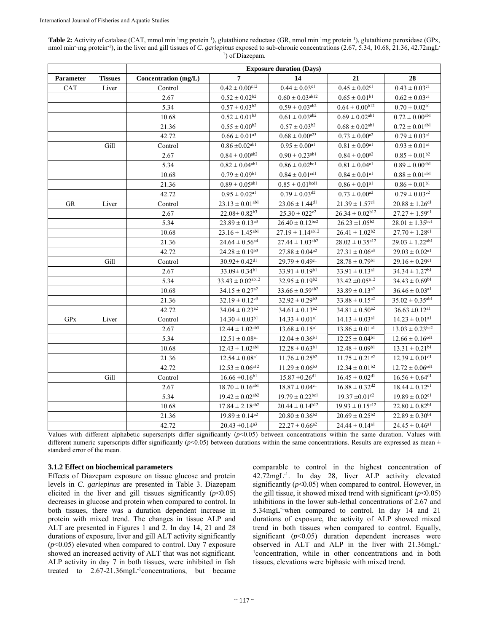| Table 2: Activity of catalase (CAT, mmol min <sup>-1</sup> mg protein <sup>-1</sup> ), glutathione reductase (GR, nmol min <sup>-1</sup> mg protein <sup>-1</sup> ), glutathione peroxidase (GPx, |
|---------------------------------------------------------------------------------------------------------------------------------------------------------------------------------------------------|
| nmol min <sup>-1</sup> mg protein <sup>-1</sup> ), in the liver and gill tissues of C. gariepinus exposed to sub-chronic concentrations $(2.67, 5.34, 10.68, 21.36, 42.72$ mgL                    |
| <sup>1</sup> ) of Diazepam.                                                                                                                                                                       |

|                  |                | <b>Exposure duration (Days)</b> |                                  |                                 |                                 |                                 |
|------------------|----------------|---------------------------------|----------------------------------|---------------------------------|---------------------------------|---------------------------------|
| <b>Parameter</b> | <b>Tissues</b> | Concentration (mg/L)            | 7                                | 14                              | 21                              | 28                              |
| CAT              | Liver          | Control                         | $0.42 \pm 0.00^{\rm cl}2$        | $0.44 \pm 0.03$ <sup>c1</sup>   | $0.45\pm0.02^{\rm cl}$          | $0.43\pm0.03^{\rm cl}$          |
|                  |                | 2.67                            | $0.52 \pm 0.02^{b2}$             | $0.60 \pm 0.03$ <sup>ab12</sup> | $0.65\pm0.01^{\rm{bl}}$         | $0.62 \pm 0.03$ <sup>c1</sup>   |
|                  |                | 5.34                            | $0.57\pm0.03^{\mathrm{b}2}$      | $0.59 \pm 0.03$ <sup>ab2</sup>  | $0.64 \pm 0.00^{\rm b12}$       | $0.70\pm0.02^{\text{bl}}$       |
|                  |                | 10.68                           | $0.52\pm0.01^{\mathrm{b}3}$      | $0.61 \pm 0.03^{\text{ab2}}$    | $0.69\pm0.02^{\text{ab}1}$      | $0.72 \pm 0.00^{ab1}$           |
|                  |                | 21.36                           | $0.55 \pm 0.00^{b2}$             | $0.57 \pm 0.03^{b2}$            | $0.68\pm0.02^{\text{ab}1}$      | $0.72 \pm 0.01^{ab1}$           |
|                  |                | 42.72                           | $0.66\pm0.01^{\mathrm{a}3}$      | $0.68 \pm 0.00^{a23}$           | $0.73\pm0.00^{\text{a}2}$       | $0.79 \pm 0.03$ <sup>a1</sup>   |
|                  | Gill           | Control                         | $0.86 \pm 0.02$ <sup>ab1</sup>   | $0.95 \pm 0.00$ <sup>al</sup>   | $0.81\pm0.09^{\rm al}$          | $0.93 \pm 0.01$ <sup>al</sup>   |
|                  |                | 2.67                            | $0.84\pm0.00^{\text{ab2}}$       | $0.90\pm0.23^{\text{abl}}$      | $0.84\pm0.00^{\mathrm{a2}}$     | $0.85 \pm 0.01^{b2}$            |
|                  |                | 5.34                            | $0.82 \pm 0.04^{ab1}$            | $0.86 \pm 0.02$ <sup>bc1</sup>  | $0.81\pm0.04^{\rm al}$          | $0.89 \pm 0.00^{ab1}$           |
|                  |                | 10.68                           | $0.79\pm0.09^{\text{b}1}$        | $0.84 \pm 0.01$ <sup>cd1</sup>  | $0.84 \pm 0.01$ <sup>al</sup>   | $0.88 \pm 0.01$ <sup>ab1</sup>  |
|                  |                | 21.36                           | $0.89 \pm 0.05$ <sup>ab1</sup>   | $0.85 \pm 0.01$ bcdl            | $0.86 \pm 0.01$ <sup>a1</sup>   | $0.86 \pm 0.01b1$               |
|                  |                | 42.72                           | $0.95 \pm 0.02^{\rm al}$         | $0.79 \pm 0.03$ <sup>d2</sup>   | $0.73 \pm 0.00^{a2}$            | $0.79\pm0.03^{\text{c2}}$       |
| <b>GR</b>        | Liver          | Control                         | $23.13\pm0.01^{\text{abl}}$      | $23.06 \pm 1.44$ <sup>d1</sup>  | $21.39 \pm 1.57$ <sup>c1</sup>  | $20.88 \pm 1.26$ <sup>d1</sup>  |
|                  |                | 2.67                            | $22.08 \pm 0.82^{b3}$            | $25.30 \pm 022$ <sup>c2</sup>   | $26.34 \pm 0.02^{\rm b12}$      | $27.27 \pm 1.59^{\rm cl}$       |
|                  |                | 5.34                            | $23.89 \pm 0.13$ <sup>a3</sup>   | $26.40 \pm 0.12$ bc2            | $26.23 \pm 1.05 ^{b2}$          | $28.01\pm1.35^{\rm{bc1}}$       |
|                  |                | 10.68                           | $23.16 \pm 1.45$ <sup>ab1</sup>  | $27.19 \pm 1.14$ ab12           | $26.41 \pm 1.02^{b2}$           | $27.70 \pm 1.28$ <sup>c1</sup>  |
|                  |                | 21.36                           | $24.64 \pm 0.56^{\rm a4}$        | $27.44 \pm 1.03$ <sup>ab2</sup> | $28.02 \pm 0.35$ <sup>a12</sup> | $29.03 \pm 1.22$ <sup>ab1</sup> |
|                  |                | 42.72                           | $24.28 \pm 0.19^{b3}$            | $27.88 \pm 0.04$ <sup>a2</sup>  | $27.31 \pm 0.06^{a3}$           | $29.03 \pm 0.02$ <sup>al</sup>  |
|                  | Gill           | Control                         | $30.92 \pm 0.42$ <sup>dl</sup>   | $29.79 \pm 0.49$ <sup>c1</sup>  | $28.78 \pm 0.79$ <sup>b1</sup>  | $29.16 \pm 0.29$ <sup>c1</sup>  |
|                  |                | 2.67                            | $33.09 \pm 0.34^{b1}$            | $33.91 \pm 0.19^{b1}$           | $33.91 \pm 0.13$ <sup>a1</sup>  | $34.34 \pm 1.27^{b1}$           |
|                  |                | 5.34                            | $33.43 \pm 0.02$ <sup>ab12</sup> | $32.95 \pm 0.19^{b2}$           | $33.42\pm\!0.05^{\rm a12}$      | $34.43 \pm 0.69^{b1}$           |
|                  |                | 10.68                           | $34.15 \pm 0.27$ <sup>a2</sup>   | $33.66\pm0.59^{\text{ab2}}$     | $33.89 \pm 0.13^{\text{a}2}$    | $36.46 \pm 0.03$ <sup>al</sup>  |
|                  |                | 21.36                           | $32.19 \pm 0.12$ <sup>c3</sup>   | $32.92 \pm 0.29^{b3}$           | $33.88 \pm 0.15$ <sup>a2</sup>  | $35.02 \pm 0.35$ <sup>ab1</sup> |
|                  |                | 42.72                           | $34.04 \pm 0.23$ <sup>a2</sup>   | $34.61 \pm 0.13^{a2}$           | $34.81 \pm 0.50$ <sup>a2</sup>  | $36.63 \pm 0.12$ <sup>a1</sup>  |
| GPX              | Liver          | Control                         | $14.30 \pm 0.03^{b1}$            | $14.33 \pm 0.01$ <sup>al</sup>  | $14.13 \pm 0.03$ <sup>al</sup>  | $14.23 \pm 0.01$ <sup>al</sup>  |
|                  |                | 2.67                            | $12.44 \pm 1.02^{\text{ab3}}$    | $13.68 \pm 0.15$ <sup>a1</sup>  | $13.86 \pm 0.01$ <sup>al</sup>  | $13.03 \pm 0.23$ <sup>bc2</sup> |
|                  |                | 5.34                            | $12.51\pm0.08^{\rm a1}$          | $12.04 \pm 0.36^{b1}$           | $12.25 \pm 0.04^{b1}$           | $12.66\pm0.16^{\text{cdl}}$     |
|                  |                | 10.68                           | $12.43 \pm 1.02$ <sup>ab1</sup>  | $12.28 \pm 0.63^{b1}$           | $12.48 \pm 0.09^{b1}$           | $13.31\pm0.21^{\mathrm{bl}}$    |
|                  |                | 21.36                           | $12.54\pm0.08^{\rm a1}$          | $11.76 \pm 0.25^{\text{b2}}$    | $11.75 \pm 0.21$ <sup>e2</sup>  | $12.39 \pm 0.01$ <sup>d1</sup>  |
|                  |                | 42.72                           | $12.53 \pm 0.06^{\text{al}}2$    | $11.29 \pm 0.06^{b3}$           | $12.34 \pm 0.01^{\text{b2}}$    | $12.72\pm0.06^{\text{cdl}}$     |
|                  | Gill           | Control                         | $16.66 \pm 0.16^{b1}$            | $15.87 \pm 0.26$ <sup>d1</sup>  | $16.45 \pm 0.02$ <sup>dl</sup>  | $16.56\pm0.64^{\text{d}1}$      |
|                  |                | 2.67                            | $18.70\pm0.16^{\text{ab1}}$      | $18.87 \pm 0.04$ <sup>c1</sup>  | $16.88 \pm 0.32$ <sup>d2</sup>  | $18.44 \pm 0.12$ <sup>c1</sup>  |
|                  |                | 5.34                            | $19.42\pm0.02^{\text{ab2}}$      | $19.79 \pm 0.22$ <sup>bc1</sup> | $19.37 \pm 0.01$ <sup>c2</sup>  | $19.89 \pm 0.02$ <sup>c1</sup>  |
|                  |                | 10.68                           | $17.84 \pm 2.18^{ab2}$           | $20.44 \pm 0.14$ <sup>b12</sup> | $19.93 \pm 0.15^{\text{cl}}$    | $22.80 \pm 0.82^{b1}$           |
|                  |                | 21.36                           | $19.89 \pm 0.14$ <sup>a2</sup>   | $20.80 \pm 0.36^{\rm b2}$       | $20.69 \pm 0.25^{b2}$           | $22.89 \pm 0.30^{b1}$           |
|                  |                | 42.72                           | $20.43 \pm 0.14$ <sup>a3</sup>   | $22.27 \pm 0.66^{a2}$           | $24.44 \pm 0.14$ <sup>a1</sup>  | $24.45 \pm 0.46$ <sup>a1</sup>  |

Values with different alphabetic superscripts differ significantly ( $p$ <0.05) between concentrations within the same duration. Values with different numeric superscripts differ significantly  $(p<0.05)$  between durations within the same concentrations. Results are expressed as mean  $\pm$ standard error of the mean.

### **3.1.2 Effect on biochemical parameters**

Effects of Diazepam exposure on tissue glucose and protein levels in *C. gariepinus* are presented in Table 3. Diazepam elicited in the liver and gill tissues significantly  $(p<0.05)$ decreases in glucose and protein when compared to control. In both tissues, there was a duration dependent increase in protein with mixed trend. The changes in tissue ALP and ALT are presented in Figures 1 and 2. In day 14, 21 and 28 durations of exposure, liver and gill ALT activity significantly  $(p<0.05)$  elevated when compared to control. Day  $\overline{7}$  exposure showed an increased activity of ALT that was not significant. ALP activity in day 7 in both tissues, were inhibited in fish treated to 2.67-21.36mgL-1concentrations, but became

comparable to control in the highest concentration of 42.72mgL-1. In day 28, liver ALP activity elevated significantly  $(p<0.05)$  when compared to control. However, in the gill tissue, it showed mixed trend with significant  $(p<0.05)$ inhibitions in the lower sub-lethal concentrations of 2.67 and 5.34mgL-1when compared to control. In day 14 and 21 durations of exposure, the activity of ALP showed mixed trend in both tissues when compared to control. Equally, significant  $(p<0.05)$  duration dependent increases were observed in ALT and ALP in the liver with 21.36mgL-1 concentration, while in other concentrations and in both tissues, elevations were biphasic with mixed trend.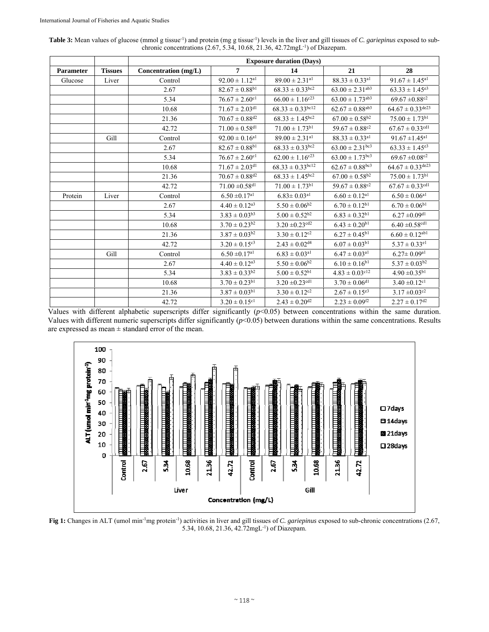| Table 3: Mean values of glucose (mmol g tissue <sup>-1</sup> ) and protein (mg g tissue <sup>-1</sup> ) levels in the liver and gill tissues of C. <i>gariepinus</i> exposed to sub- |  |
|--------------------------------------------------------------------------------------------------------------------------------------------------------------------------------------|--|
| chronic concentrations $(2.67, 5.34, 10.68, 21.36, 42.72 \text{mgL}^{-1})$ of Diazepam.                                                                                              |  |

|                  |                | <b>Exposure duration (Days)</b> |                                |                                            |                                  |                                   |
|------------------|----------------|---------------------------------|--------------------------------|--------------------------------------------|----------------------------------|-----------------------------------|
| <b>Parameter</b> | <b>Tissues</b> | Concentration (mg/L)            | $\overline{7}$                 | 14                                         | 21                               | 28                                |
| Glucose          | Liver          | Control                         | $92.00 \pm 1.12$ <sup>al</sup> | $89.00 \pm 2.31$ <sup>a1</sup>             | $88.33 \pm 0.33$ <sup>al</sup>   | $91.67 \pm 1.45$ <sup>a1</sup>    |
|                  |                | 2.67                            | $82.67 \pm 0.88$ <sup>b1</sup> | $68.33 \pm 0.33$ bc2                       | $63.00 \pm 2.31$ <sup>ab3</sup>  | $63.33 \pm 1.45^{e3}$             |
|                  |                | 5.34                            | $76.67 \pm 2.60$ <sup>c1</sup> | $66.00 \pm 1.16^{\rm c23}$                 | $63.00\pm1.73^{\text{ab3}}$      | $69.67 \pm 0.88$ <sup>c2</sup>    |
|                  |                | 10.68                           | $71.67\pm2.03^{\text{d}1}$     | $68.33 \pm 0.33$ bc12                      | $62.67 \pm 0.88$ <sup>ab3</sup>  | $64.67 \pm 0.33$ de23             |
|                  |                | 21.36                           | $70.67 \pm 0.88$ <sup>d2</sup> | $68.33 \pm 1.45$ <sup>bc2</sup>            | $67.00 \pm 0.58^{b2}$            | $75.00 \pm 1.73^{b1}$             |
|                  |                | 42.72                           | $71.00\pm0.58^{\text{d}1}$     | $71.00 \pm 1.73$ <sup>b1</sup>             | $59.67 \pm 0.88^{\overline{c2}}$ | $67.67 \pm 0.33$ cdl              |
|                  | Gill           | Control                         | $92.00 \pm 0.16$ <sup>a1</sup> | $89.00 \pm 2.31$ <sup>a1</sup>             | $88.33 \pm 0.33$ <sup>a1</sup>   | $91.67 \pm 1.45$ <sup>a1</sup>    |
|                  |                | 2.67                            | $82.67 \pm 0.88^{b1}$          | $68.33 \pm 0.33$ <sup>bc2</sup>            | $63.00 \pm 2.31$ <sup>bc3</sup>  | $63.33 \pm 1.45^{e3}$             |
|                  |                | 5.34                            | $76.67 \pm 2.60$ <sup>c1</sup> | $62.00 \pm 1.16^{c23}$                     | $63.00 \pm 1.73$ <sup>bc3</sup>  | $69.67 \pm 0.08$ <sup>c2</sup>    |
|                  |                | 10.68                           | $71.67 \pm 2.03$ <sup>dl</sup> | $68.33 \pm 0.33$ <sub>bc</sub> $\sqrt{12}$ | $62.67 \pm 0.88$ bc3             | $64.67 \pm 0.33$ de <sup>23</sup> |
|                  |                | 21.36                           | $70.67 \pm 0.88$ <sup>d2</sup> | $68.33 \pm 1.45^{\overline{bc2}}$          | $67.00 \pm 0.58$ <sup>b2</sup>   | $75.00 \pm 1.73^{b1}$             |
|                  |                | 42.72                           | $71.00 \pm 0.58$ <sup>d1</sup> | $71.00 \pm 1.73^{b1}$                      | $59.67 \pm 0.88$ <sup>c2</sup>   | $67.67\pm0.33^{\text{cdl}}$       |
| Protein          | Liver          | Control                         | $6.50 \pm 0.17$ <sup>a1</sup>  | $6.83 \pm 0.03$ <sup>a1</sup>              | $6.60 \pm 0.12$ <sup>a1</sup>    | $6.50\pm0.06^{\rm a1}$            |
|                  |                | 2.67                            | $4.40 \pm 0.12^{a3}$           | $5.50 \pm 0.06^{b2}$                       | $6.70 \pm 0.12^{b1}$             | $6.70 \pm 0.06^{b1}$              |
|                  |                | 5.34                            | $3.83 \pm 0.03^{b3}$           | $5.00 \pm 0.52^{b2}$                       | $6.83 \pm 0.32^{b1}$             | $6.27\pm0.09^{\text{d}1}$         |
|                  |                | 10.68                           | $3.70 \pm 0.23^{b2}$           | $3.20 \pm 0.23$ <sup>ed2</sup>             | $6.43 \pm 0.20^{b1}$             | $6.40 \pm 0.58$ <sup>cd1</sup>    |
|                  |                | 21.36                           | $3.87\pm0.03^{\mathrm{b2}}$    | $3.30 \pm 0.12$ <sup>c2</sup>              | $6.27\pm0.45^{\mathrm{b1}}$      | $6.60 \pm 0.12^{\text{abl}}$      |
|                  |                | 42.72                           | $3.20 \pm 0.15$ <sup>c3</sup>  | $2.43\pm0.02^{\text{d4}}$                  | $6.07 \pm 0.03^{b1}$             | $5.37 \pm 0.33$ <sup>el</sup>     |
|                  | Gill           | Control                         | $6.50 \pm 0.17$ <sup>a1</sup>  | $6.83\pm0.03^{\rm al}$                     | $6.47 \pm 0.03$ <sup>a1</sup>    | $6.27\pm0.09^{\rm a1}$            |
|                  |                | 2.67                            | $4.40 \pm 0.12$ <sup>a3</sup>  | $5.50 \pm 0.06^{b2}$                       | $6.10 \pm 0.16^{b1}$             | $5.37 \pm 0.03^{b2}$              |
|                  |                | 5.34                            | $3.83 \pm 0.33^{b2}$           | $5.00\pm0.52^{\mathrm{b}1}$                | $4.83 \pm 0.03$ <sup>c12</sup>   | $4.90 \pm 0.35^{b1}$              |
|                  |                | 10.68                           | $3.70 \pm 0.23^{b1}$           | $3.20 \pm 0.23$ <sup>cd1</sup>             | $3.70 \pm 0.06$ <sup>d1</sup>    | $3.40\pm0.12^{\mathrm{c1}}$       |
|                  |                | 21.36                           | $3.87\pm0.03^{\text{bl}}$      | $3.30 \pm 0.12$ <sup>c2</sup>              | $2.67 \pm 0.15^{e3}$             | $3.17 \pm 0.03$ <sup>c2</sup>     |
|                  |                | 42.72                           | $3.20 \pm 0.15$ <sup>c1</sup>  | $2.43 \pm 0.20^{d2}$                       | $2.23 \pm 0.09^{f2}$             | $2.27 \pm 0.17$ <sup>d2</sup>     |

Values with different alphabetic superscripts differ significantly  $(p<0.05)$  between concentrations within the same duration. Values with different numeric superscripts differ significantly  $(p<0.05)$  between durations within the same concentrations. Results are expressed as mean  $\pm$  standard error of the mean.



**Fig 1:** Changes in ALT (umol min-1mg protein-1) activities in liver and gill tissues of *C. gariepinus* exposed to sub-chronic concentrations (2.67, 5.34, 10.68, 21.36, 42.72mgL-1) of Diazepam.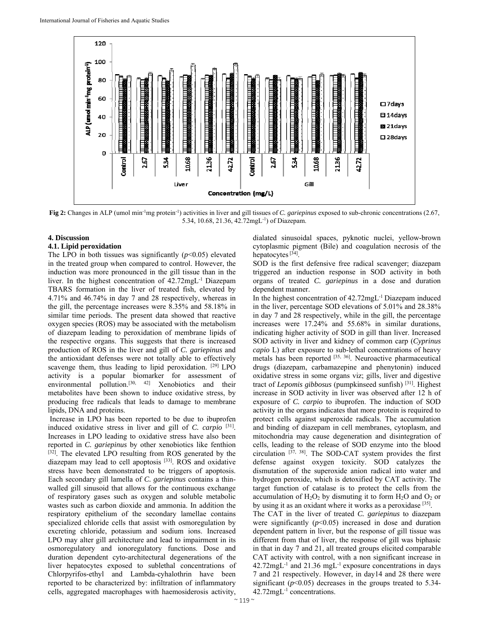

**Fig 2:** Changes in ALP (umol min-1mg protein-1) activities in liver and gill tissues of *C. gariepinus* exposed to sub-chronic concentrations (2.67, 5.34, 10.68, 21.36, 42.72mgL-1) of Diazepam.

## **4. Discussion**

### **4.1. Lipid peroxidation**

The LPO in both tissues was significantly  $(p<0.05)$  elevated in the treated group when compared to control. However, the induction was more pronounced in the gill tissue than in the liver. In the highest concentration of 42.72mgL-1 Diazepam TBARS formation in the liver of treated fish, elevated by 4.71% and 46.74% in day 7 and 28 respectively, whereas in the gill, the percentage increases were 8.35% and 58.18% in similar time periods. The present data showed that reactive oxygen species (ROS) may be associated with the metabolism of diazepam leading to peroxidation of membrane lipids of the respective organs. This suggests that there is increased production of ROS in the liver and gill of *C. gariepinus* and the antioxidant defenses were not totally able to effectively scavenge them, thus leading to lipid peroxidation. [29] LPO activity is a popular biomarker for assessment of environmental pollution.<sup>[30, 42]</sup> Xenobiotics and their metabolites have been shown to induce oxidative stress, by producing free radicals that leads to damage to membrane lipids, DNA and proteins.

 Increase in LPO has been reported to be due to ibuprofen induced oxidative stress in liver and gill of *C. carpio* [31]. Increases in LPO leading to oxidative stress have also been reported in *C. gariepinus* by other xenobiotics like fenthion [32]. The elevated LPO resulting from ROS generated by the diazepam may lead to cell apoptosis [33]. ROS and oxidative stress have been demonstrated to be triggers of apoptosis. Each secondary gill lamella of *C. gariepinus* contains a thinwalled gill sinusoid that allows for the continuous exchange of respiratory gases such as oxygen and soluble metabolic wastes such as carbon dioxide and ammonia. In addition the respiratory epithelium of the secondary lamellae contains specialized chloride cells that assist with osmoregulation by excreting chloride, potassium and sodium ions. Increased LPO may alter gill architecture and lead to impairment in its osmoregulatory and ionoregulatory functions. Dose and duration dependent cyto-architectural degenerations of the liver hepatocytes exposed to sublethal concentrations of Chlorpyrifos-ethyl and Lambda-cyhalothrin have been reported to be characterized by: infiltration of inflammatory cells, aggregated macrophages with haemosiderosis activity,

dialated sinusoidal spaces, pyknotic nuclei, yellow-brown cytoplasmic pigment (Bile) and coagulation necrosis of the hepatocytes [34].

SOD is the first defensive free radical scavenger; diazepam triggered an induction response in SOD activity in both organs of treated *C. gariepinus* in a dose and duration dependent manner.

In the highest concentration of 42.72mgL-1 Diazepam induced in the liver, percentage SOD elevations of 5.01% and 28.38% in day 7 and 28 respectively, while in the gill, the percentage increases were 17.24% and 55.68% in similar durations, indicating higher activity of SOD in gill than liver. Increased SOD activity in liver and kidney of common carp (*Cyprinus capio* L) after exposure to sub-lethal concentrations of heavy metals has been reported [35, 36]. Neuroactive pharmaceutical drugs (diazepam, carbamazepine and phenytonin) induced oxidative stress in some organs viz; gills, liver and digestive tract of *Lepomis gibbosus* (pumpkinseed sunfish) [31]. Highest increase in SOD activity in liver was observed after 12 h of exposure of *C. carpio* to ibuprofen. The induction of SOD activity in the organs indicates that more protein is required to protect cells against superoxide radicals. The accumulation and binding of diazepam in cell membranes, cytoplasm, and mitochondria may cause degeneration and disintegration of cells, leading to the release of SOD enzyme into the blood circulation [37, 38]. The SOD-CAT system provides the first defense against oxygen toxicity. SOD catalyzes the dismutation of the superoxide anion radical into water and hydrogen peroxide, which is detoxified by CAT activity. The target function of catalase is to protect the cells from the accumulation of  $H_2O_2$  by dismuting it to form  $H_2O$  and  $O_2$  or by using it as an oxidant where it works as a peroxidase [35].

The CAT in the liver of treated *C. gariepinus* to diazepam were significantly  $(p<0.05)$  increased in dose and duration dependent pattern in liver, but the response of gill tissue was different from that of liver, the response of gill was biphasic in that in day 7 and 21, all treated groups elicited comparable CAT activity with control, with a non significant increase in  $42.72$ mgL<sup>-1</sup> and  $21.36$  mgL<sup>-1</sup> exposure concentrations in days 7 and 21 respectively. However, in day14 and 28 there were significant  $(p<0.05)$  decreases in the groups treated to 5.34-42.72mgL-1 concentrations.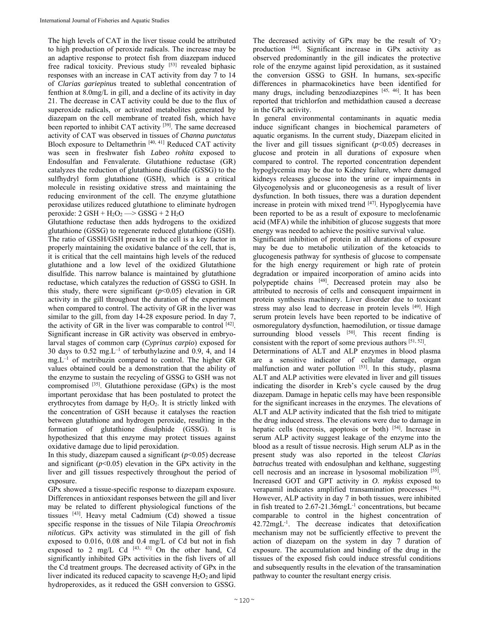The high levels of CAT in the liver tissue could be attributed to high production of peroxide radicals. The increase may be an adaptive response to protect fish from diazepam induced free radical toxicity. Previous study [53] revealed biphasic responses with an increase in CAT activity from day 7 to 14 of *Clarias gariepinu*s treated to sublethal concentration of fenthion at 8.0mg/L in gill, and a decline of its activity in day 21. The decrease in CAT activity could be due to the flux of superoxide radicals, or activated metabolites generated by diazepam on the cell membrane of treated fish, which have been reported to inhibit CAT activity [39]. The same decreased activity of CAT was observed in tissues of *Channa punctatus*  Bloch exposure to Deltamethrin [40, 41] Reduced CAT activity was seen in freshwater fish *Labeo rohita* exposed to Endosulfan and Fenvalerate. Glutathione reductase (GR) catalyzes the reduction of glutathione disulfide (GSSG) to the sulfhydryl form glutathione (GSH), which is a critical molecule in resisting oxidative stress and maintaining the reducing environment of the cell. The enzyme glutathione peroxidase utilizes reduced glutathione to eliminate hydrogen peroxide:  $2$  GSH +  $H_2O_2 \longrightarrow$  GSSG +  $2$  H<sub>2</sub>O

Glutathione reductase then adds hydrogens to the oxidized glutathione (GSSG) to regenerate reduced glutathione (GSH). The ratio of GSSH/GSH present in the cell is a key factor in properly maintaining the oxidative balance of the cell, that is, it is critical that the cell maintains high levels of the reduced glutathione and a low level of the oxidized Glutathione disulfide. This narrow balance is maintained by glutathione reductase, which catalyzes the reduction of GSSG to GSH. In this study, there were significant  $(p<0.05)$  elevation in GR activity in the gill throughout the duration of the experiment when compared to control. The activity of GR in the liver was similar to the gill, from day 14-28 exposure period. In day 7, the activity of GR in the liver was comparable to control  $[42]$ . Significant increase in GR activity was observed in embryolarval stages of common carp (*Cyprinus carpio*) exposed for 30 days to  $0.52 \text{ mg}$ . L<sup>-1</sup> of terbuthylazine and 0.9, 4, and 14 mg.L–1 of metribuzin compared to control. The higher GR values obtained could be a demonstration that the ability of the enzyme to sustain the recycling of GSSG to GSH was not compromised [35]. Glutathione peroxidase (GPx) is the most important peroxidase that has been postulated to protect the erythrocytes from damage by H<sub>2</sub>O<sub>2</sub>. It is strictly linked with the concentration of GSH because it catalyses the reaction between glutathione and hydrogen peroxide, resulting in the formation of glutathione disulphide (GSSG). It is hypothesized that this enzyme may protect tissues against oxidative damage due to lipid peroxidation.

In this study, diazepam caused a significant  $(p<0.05)$  decrease and significant  $(p<0.05)$  elevation in the GPx activity in the liver and gill tissues respectively throughout the period of exposure.

GPx showed a tissue-specific response to diazepam exposure. Differences in antioxidant responses between the gill and liver may be related to different physiological functions of the tissues [43]. Heavy metal Cadmium (Cd) showed a tissue specific response in the tissues of Nile Tilapia *Oreochromis niloticus*. GPx activity was stimulated in the gill of fish exposed to 0.016, 0.08 and 0.4 mg/L of Cd but not in fish exposed to 2 mg/L Cd  $[43, 43]$  On the other hand, Cd significantly inhibited GPx activities in the fish livers of all the Cd treatment groups. The decreased activity of GPx in the liver indicated its reduced capacity to scavenge  $H_2O_2$  and lipid hydroperoxides, as it reduced the GSH conversion to GSSG.

The decreased activity of GPx may be the result of  $O<sub>2</sub>$ production [44]. Significant increase in GPx activity as observed predominantly in the gill indicates the protective role of the enzyme against lipid peroxidation, as it sustained the conversion GSSG to GSH. In humans, sex-specific differences in pharmacokinetics have been identified for many drugs, including benzodiazepines [45, 46]. It has been reported that trichlorfon and methidathion caused a decrease in the GPx activity.

In general environmental contaminants in aquatic media induce significant changes in biochemical parameters of aquatic organisms. In the current study, Diazepam elicited in the liver and gill tissues significant  $(p<0.05)$  decreases in glucose and protein in all durations of exposure when compared to control. The reported concentration dependent hypoglycemia may be due to Kidney failure, where damaged kidneys releases glucose into the urine or impairments in Glycogenolysis and or gluconeogenesis as a result of liver dysfunction. In both tissues, there was a duration dependent increase in protein with mixed trend [47]. Hypoglycemia have been reported to be as a result of exposure to meclofenamic acid (MFA) while the inhibition of glucose suggests that more energy was needed to achieve the positive survival value.

Significant inhibition of protein in all durations of exposure may be due to metabolic utilization of the ketoacids to glucogenesis pathway for synthesis of glucose to compensate for the high energy requirement or high rate of protein degradation or impaired incorporation of amino acids into polypeptide chains [48]. Decreased protein may also be attributed to necrosis of cells and consequent impairment in protein synthesis machinery. Liver disorder due to toxicant stress may also lead to decrease in protein levels [49]. High serum protein levels have been reported to be indicative of osmoregulatory dysfunction, haemodilution, or tissue damage surrounding blood vessels  $[50]$ . This recent finding is consistent with the report of some previous authors [51, 52].

Determinations of ALT and ALP enzymes in blood plasma are a sensitive indicator of cellular damage, organ malfunction and water pollution [53]. In this study, plasma ALT and ALP activities were elevated in liver and gill tissues indicating the disorder in Kreb's cycle caused by the drug diazepam. Damage in hepatic cells may have been responsible for the significant increases in the enzymes. The elevations of ALT and ALP activity indicated that the fish tried to mitigate the drug induced stress. The elevations were due to damage in hepatic cells (necrosis, apoptosis or both) [54]. Increase in serum ALP activity suggest leakage of the enzyme into the blood as a result of tissue necrosis. High serum ALP as in the present study was also reported in the teleost *Clarias batrachus* treated with endosulphan and kelthane, suggesting cell necrosis and an increase in lysosomal mobilization [55]. Increased GOT and GPT activity in *O. mykiss* exposed to verapamil indicates amplified transamination processes [56]. However, ALP activity in day 7 in both tissues, were inhibited in fish treated to 2.67-21.36mgL<sup>-1</sup> concentrations, but became comparable to control in the highest concentration of  $42.72 \text{mgL}^{-1}$ . The decrease indicates that detoxification mechanism may not be sufficiently effective to prevent the action of diazepam on the system in day 7 duration of exposure. The accumulation and binding of the drug in the tissues of the exposed fish could induce stressful conditions and subsequently results in the elevation of the transamination pathway to counter the resultant energy crisis.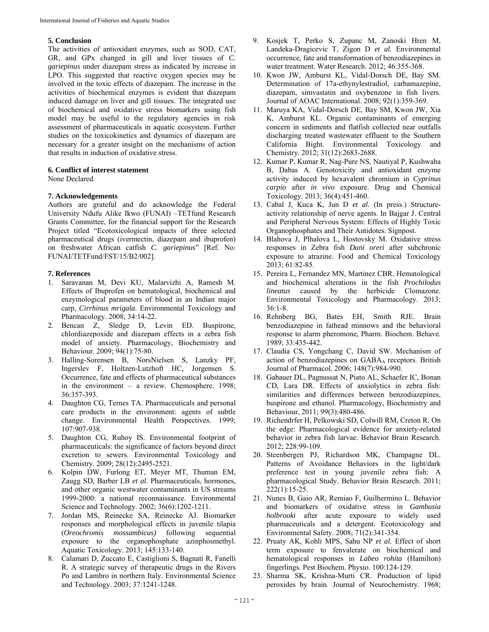## **5. Conclusion**

The activities of antioxidant enzymes, such as SOD, CAT, GR, and GPx changed in gill and liver tissues of *C. gariepinus* under diazepam stress as indicated by increase in LPO. This suggested that reactive oxygen species may be involved in the toxic effects of diazepam. The increase in the activities of biochemical enzymes is evident that diazepam induced damage on liver and gill tissues. The integrated use of biochemical and oxidative stress biomarkers using fish model may be useful to the regulatory agencies in risk assessment of pharmaceuticals in aquatic ecosystem. Further studies on the toxicokinetics and dynamics of diazepam are necessary for a greater insight on the mechanisms of action that results in induction of oxidative stress.

## **6. Conflict of interest statement**

None Declared.

## **7. Acknowledgements**

Authors are grateful and do acknowledge the Federal University Ndufu Alike Ikwo (FUNAI) –TETfund Research Grants Committee, for the financial support for the Research Project titled "Ecotoxicological impacts of three selected pharmaceutical drugs (ivermectin, diazepam and ibuprofen) on freshwater African catfish *C. gariepinus*" [Ref. No: FUNAI/TETFund/FST/15/B2/002].

## **7. References**

- 1. Saravanan M, Devi KU, Malarvizhi A, Ramesh M. Effects of Ibuprofen on hematological, biochemical and enzymological parameters of blood in an Indian major carp, *Cirrhinus mrigala*. Environmental Toxicology and Pharmacology. 2008; 34:14-22.
- 2. Bencan Z, Sledge D, Levin ED. Buspirone, chlordiazepoxide and diazepam effects in a zebra fish model of anxiety. Pharmacology, Biochemistry and Behaviour. 2009; 94(1):75-80.
- 3. Halling-Sorensen B, NorsNielsen S, Lanzky PF, Ingerslev F, Holtzen-Lutzhoft HC, Jorgensen S. Occurrence, fate and effects of pharmaceutical substances in the environment – a review. Chemosphere. 1998; 36:357-393.
- 4. Daughton CG, Ternes TA. Pharmaceuticals and personal care products in the environment: agents of subtle change. Environmental Health Perspectives. 1999; 107:907-938.
- 5. Daughton CG, Ruhoy IS. Environmental footprint of pharmaceuticals: the significance of factors beyond direct excretion to sewers. Environmental Toxicology and Chemistry. 2009; 28(12):2495-2521.
- 6. Kolpin DW, Furlong ET, Meyer MT, Thuman EM, Zaugg SD, Barber LB *et al.* Pharmaceuticals, hormones, and other organic westwater contaminants in US streams 1999-2000: a national reconnaissance. Environmental Science and Technology. 2002; 36(6):1202-1211.
- 7. Jordan MS, Reinecke SA, Reinecke AJ. Biomarker responses and morphological effects in juvenile tilapia (*Oreochromis mossambicus)* following sequential exposure to the organophosphate azinphosmethyl. Aquatic Toxicology. 2013; 145:133-140.
- 8. Calamari D, Zuccato E, Castiglioni S, Bagnati R, Fanelli R. A strategic survey of therapeutic drugs in the Rivers Po and Lambro in northern Italy. Environmental Science and Technology. 2003; 37:1241-1248.
- 9. Kosjek T, Perko S, Zupanc M, Zanoski Hren M, Landeka-Dragicevic T, Zigon D *et al.* Environmental occurrence, fate and transformation of benzodiazepines in water treatment. Water Research. 2012; 46:355-368.
- 10. Kwon JW, Amburst KL, Vidal-Dorsch DE, Bay SM. Determination of 17a-ethynylestradiol, carbamazepine, diazepam, simvastatin and oxybenzone in fish livers. Journal of AOAC International. 2008; 92(1):359-369.
- 11. Maruya KA, Vidal-Dorsch DE, Bay SM, Kwon JW, Xia K, Amburst KL. Organic contaminants of emerging concern in sediments and flatfish collected near outfalls discharging treated wastewater effluent to the Southern California Bight. Environmental Toxicology and Chemistry. 2012; 31(12):2683-2688.
- 12. Kumar P, Kumar R, Nag-Pure NS, Nautiyal P, Kushwaha B, Dabas A. Genotoxicity and antioxidant enzyme activity induced by hexavalent chromium in *Cyprinus carpio* after *in vivo* exposure. Drug and Chemical Toxicology. 2013; 36(4):451-460.
- 13. Cabal J, Kuca K, Jun D *et al.* (In press.) Structureactivity relationship of nerve agents. In Bajgar J. Central and Peripheral Nervous System: Effects of Highly Toxic Organophosphates and Their Antidotes. Signpost.
- 14. Blahova J, Plhalova L, Hostovsky M. Oxidative stress responses in Zebra fish *Dani oreri* after subchronic exposure to atrazine. Food and Chemical Toxicology 2013; 61:82-85.
- 15. Pereira L, Fernandez MN, Martinez CBR. Hematological and biochemical alterations in the fish *Prochilodus lineatus* caused by the herbicide Clomazone. Environmental Toxicology and Pharmacology. 2013; 36:1-8.
- 16. Rehnberg BG, Bates EH, Smith RJE. Brain benzodiazepine in fathead minnows and the behavioral response to alarm pheromone, Pharm. Biochem. Behave. 1989; 33:435-442.
- 17. Claudia CS, Yongchang C, David SW. Mechanism of action of benzodiazepines on GABAA receptors. British Journal of Pharmacol. 2006; 148(7):984-990.
- 18. Gabauer DL, Pagnussat N, Piato AL, Schaefer IC, Bonan CD, Lara DR. Effects of anxiolytics in zebra fish: similarities and differences between benzodiazepines, buspirone and ethanol. Pharmacology, Biochemistry and Behaviour, 2011; 99(3):480-486.
- 19. Richendrfer H, Pelkowski SD, Colwill RM, Creton R. On the edge: Pharmacological evidence for anxiety-related behavior in zebra fish larvae. Behavior Brain Research. 2012; 228:99-109.
- 20. Steenbergen PJ, Richardson MK, Champagne DL. Patterns of Avoidance Behaviors in the light/dark preference test in young juvenile zebra fish: A pharmacological Study. Behavior Brain Research. 2011; 222(1):15-25.
- 21. Nunes B, Gaio AR, Remiao F, Guilhermino L. Behavior and biomarkers of oxidative stress in *Gambusia holbrooki* after acute exposure to widely used pharmaceuticals and a detergent. Ecotoxicology and Environmental Safety. 2008; 71(2):341-354.
- 22. Pruaty AK, Kohli MPS, Sahu NP *et al.* Effect of short term exposure to fenvalerate on biochemical and hematological responses in *Labeo rohita* (Hamilton) fingerlings. Pest Biochem. Physio. 100:124-129.
- 23. Sharma SK, Krishna-Murti CR. Production of lipid peroxides by brain. Journal of Neurochemistry. 1968;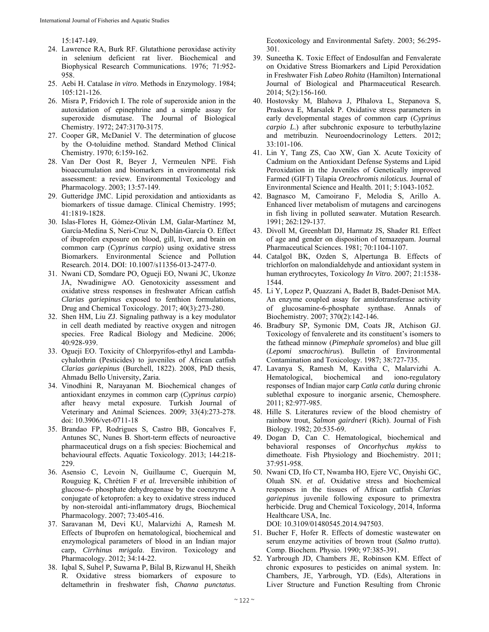15:147-149.

- 24. Lawrence RA, Burk RF. Glutathione peroxidase activity in selenium deficient rat liver. Biochemical and Biophysical Research Communications. 1976; 71:952- 958.
- 25. Aebi H. Catalase *in vitro*. Methods in Enzymology. 1984; 105:121-126.
- 26. Misra P, Fridovich I. The role of superoxide anion in the autoxidation of epinephrine and a simple assay for superoxide dismutase. The Journal of Biological Chemistry. 1972; 247:3170-3175.
- 27. Cooper GR, McDaniel V. The determination of glucose by the O-toluidine method. Standard Method Clinical Chemistry. 1970; 6:159-162.
- 28. Van Der Oost R, Beyer J, Vermeulen NPE. Fish bioaccumulation and biomarkers in environmental risk assessment: a review. Environmental Toxicology and Pharmacology. 2003; 13:57-149.
- 29. Gutteridge JMC. Lipid peroxidation and antioxidants as biomarkers of tissue damage. Clinical Chemistry. 1995; 41:1819-1828.
- 30. Islas-Flores H, Gómez-Oliván LM, Galar-Martínez M, García-Medina S, Neri-Cruz N, Dublán-García O. Effect of ibuprofen exposure on blood, gill, liver, and brain on common carp (*Cyprinus carpio*) using oxidative stress Biomarkers. Environmental Science and Pollution Research. 2014. DOI: 10.1007/s11356-013-2477-0.
- 31. Nwani CD, Somdare PO, Ogueji EO, Nwani JC, Ukonze JA, Nwadinigwe AO. Genotoxicity assessment and oxidative stress responses in freshwater African catfish *Clarias gariepinus* exposed to fenthion formulations, Drug and Chemical Toxicology. 2017; 40(3):273-280.
- 32. Shen HM, Liu ZJ. Signaling pathway is a key modulator in cell death mediated by reactive oxygen and nitrogen species. Free Radical Biology and Medicine. 2006; 40:928-939.
- 33. Ogueji EO. Toxicity of Chlorpyrifos-ethyl and Lambdacyhalothrin (Pesticides) to juveniles of African catfish *Clarias gariepinus* (Burchell, 1822). 2008, PhD thesis, Ahmadu Bello University, Zaria.
- 34. Vinodhini R, Narayanan M. Biochemical changes of antioxidant enzymes in common carp (*Cyprinus carpio*) after heavy metal exposure. Turkish Journal of Veterinary and Animal Sciences. 2009; 33(4):273-278. doi: 10.3906/vet-0711-18
- 35. Brandao FP, Rodrigues S, Castro BB, Goncalves F, Antunes SC, Nunes B. Short-term effects of neuroactive pharmaceutical drugs on a fish species: Biochemical and behavioural effects. Aquatic Toxicology. 2013; 144:218- 229.
- 36. Asensio C, Levoin N, Guillaume C, Guerquin M, Rouguieg K, Chrétien F *et al.* Irreversible inhibition of glucose-6- phosphate dehydrogenase by the coenzyme A conjugate of ketoprofen: a key to oxidative stress induced by non-steroidal anti-inflammatory drugs, Biochemical Pharmacology. 2007; 73:405-416.
- 37. Saravanan M, Devi KU, Malarvizhi A, Ramesh M. Effects of Ibuprofen on hematological, biochemical and enzymological parameters of blood in an Indian major carp, *Cirrhinus mrigala*. Environ. Toxicology and Pharmacology. 2012; 34:14-22.
- 38. Iqbal S, Suhel P, Suwarna P, Bilal B, Rizwanul H, Sheikh R. Oxidative stress biomarkers of exposure to deltamethrin in freshwater fish, *Channa punctatus*.

Ecotoxicology and Environmental Safety. 2003; 56:295- 301.

- 39. Suneetha K. Toxic Effect of Endosulfan and Fenvalerate on Oxidative Stress Biomarkers and Lipid Peroxidation in Freshwater Fish *Labeo Rohita* (Hamilton) International Journal of Biological and Pharmaceutical Research. 2014; 5(2):156-160.
- 40. Hostovsky M, Blahova J, Plhalova L, Stepanova S, Praskova E, Marsalek P. Oxidative stress parameters in early developmental stages of common carp (*Cyprinus carpio L*.) after subchronic exposure to terbuthylazine and metribuzin. Neuroendocrinology Letters. 2012; 33:101-106.
- 41. Lin Y, Tang ZS, Cao XW, Gan X. Acute Toxicity of Cadmium on the Antioxidant Defense Systems and Lipid Peroxidation in the Juveniles of Genetically improved Farmed (GIFT) Tilapia *Oreochromis niloticus.* Journal of Environmental Science and Health. 2011; 5:1043-1052.
- 42. Bagnasco M, Camoirano F, Melodia S, Arillo A. Enhanced liver metabolism of mutagens and carcinogens in fish living in polluted seawater. Mutation Research. 1991; 262:129-137.
- 43. Divoll M, Greenblatt DJ, Harmatz JS, Shader RI. Effect of age and gender on disposition of temazepam. Journal Pharmaceutical Sciences. 1981; 70:1104-1107.
- 44. Catalgol BK, Ozden S, Alpertunga B. Effects of trichlorfon on malondialdehyde and antioxidant system in human erythrocytes, Toxicology *In Vitro*. 2007; 21:1538- 1544.
- 45. Li Y, Lopez P, Quazzani A, Badet B, Badet-Denisot MA. An enzyme coupled assay for amidotransferase activity of glucosamine-6-phosphate synthase. Annals of Biochemistry. 2007; 370(2):142-146.
- 46. Bradbury SP, Symonic DM, Coats JR, Atchison GJ. Toxicology of fenvalerete and its constituent's isomers to the fathead minnow (*Pimephale spromelos*) and blue gill (*Lepomi smacrochirus*). Bulletin of Environmental Contamination and Toxicology. 1987; 38:727-735.
- 47. Lavanya S, Ramesh M, Kavitha C, Malarvizhi A. Hematological, biochemical and iono-regulatory responses of Indian major carp *Catla catla* during chronic sublethal exposure to inorganic arsenic, Chemosphere. 2011; 82:977-985.
- 48. Hille S. Literatures review of the blood chemistry of rainbow trout, *Salmon gairdneri* (Rich). Journal of Fish Biology. 1982; 20:535-69.
- 49. Dogan D, Can C. Hematological, biochemical and behavioral responses of *Oncorhychus mykiss* to dimethoate. Fish Physiology and Biochemistry. 2011; 37:951-958.
- 50. Nwani CD, Ifo CT, Nwamba HO, Ejere VC, Onyishi GC, Oluah SN. *et al.* Oxidative stress and biochemical responses in the tissues of African catfish *Clarias gariepinus* juvenile following exposure to primextra herbicide. Drug and Chemical Toxicology, 2014, Informa Healthcare USA, Inc. DOI: 10.3109/01480545.2014.947503.
- 51. Bucher F, Hofer R. Effects of domestic wastewater on serum enzyme activities of brown trout (*Salmo trutta*). Comp. Biochem. Physio. 1990; 97:385-391.
- 52. Yarbrough JD, Chambers JE, Robinson KM. Effect of chronic exposures to pesticides on animal system. In: Chambers, JE, Yarbrough, YD. (Eds), Alterations in Liver Structure and Function Resulting from Chronic